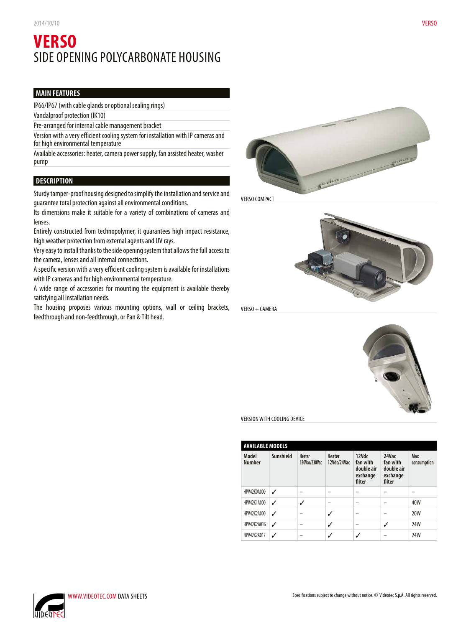# **VERSO** SIDE OPENING POLYCARBONATE HOUSING

# **MAIN FEATURES**

IP66/IP67 (with cable glands or optional sealing rings)

Vandalproof protection (IK10)

Pre-arranged for internal cable management bracket

Version with a very efficient cooling system for installation with IP cameras and for high environmental temperature

Available accessories: heater, camera power supply, fan assisted heater, washer pump

# **DESCRIPTION**

Sturdy tamper-proof housing designed to simplify the installation and service and guarantee total protection against all environmental conditions.

Its dimensions make it suitable for a variety of combinations of cameras and lenses.

Entirely constructed from technopolymer, it guarantees high impact resistance, high weather protection from external agents and UV rays.

Very easy to install thanks to the side opening system that allows the full access to the camera, lenses and all internal connections.

A specific version with a very efficient cooling system is available for installations with IP cameras and for high environmental temperature.

A wide range of accessories for mounting the equipment is available thereby satisfying all installation needs.

The housing proposes various mounting options, wall or ceiling brackets, feedthrough and non-feedthrough, or Pan & Tilt head.



VERSO COMPACT



VERSO + CAMERA



VERSION WITH COOLING DEVICE

| <b>AVAILABLE MODELS</b> |           |                         |                       |                                                       |                                                       |                    |
|-------------------------|-----------|-------------------------|-----------------------|-------------------------------------------------------|-------------------------------------------------------|--------------------|
| Model<br><b>Number</b>  | Sunshield | Heater<br>120Vac/230Vac | Heater<br>12Vdc/24Vac | 12Vdc<br>fan with<br>double air<br>exchange<br>filter | 24Vac<br>fan with<br>double air<br>exchange<br>filter | Max<br>consumption |
| HPV42K0A000             | ℐ         |                         |                       |                                                       |                                                       |                    |
| HPV42K1A000             | ℐ         |                         |                       |                                                       |                                                       | 40W                |
| HPV42K2A000             | ℐ         |                         |                       |                                                       |                                                       | 20W                |
| HPV42K2A016             | ℐ         |                         |                       |                                                       |                                                       | 24W                |
| HPV42K2A017             |           |                         |                       |                                                       |                                                       | 24W                |

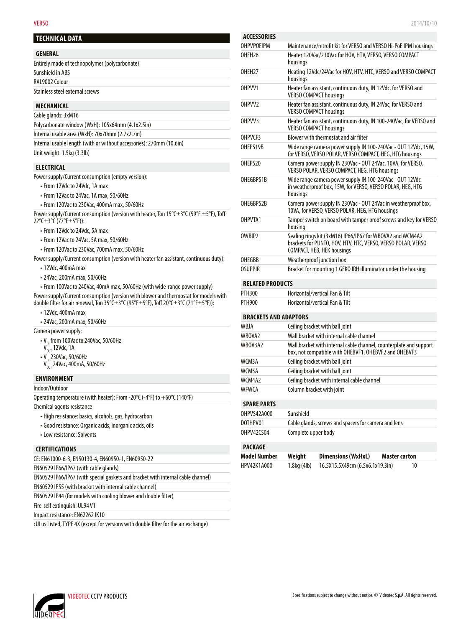#### **TECHNICAL DATA**

| <b>GENERAL</b>                                 |  |
|------------------------------------------------|--|
| Entirely made of technopolymer (polycarbonate) |  |
| Sunshield in ABS                               |  |
| RAL9002 Colour                                 |  |
| Stainless steel external screws                |  |
|                                                |  |

### **MECHANICAL**

| Cable glands: 3xM16                                                  |  |
|----------------------------------------------------------------------|--|
| Polycarbonate window (WxH): 105x64mm (4.1x2.5in)                     |  |
| Internal usable area (WxH): 70x70mm (2.7x2.7in)                      |  |
| Internal usable length (with or without accessories): 270mm (10.6in) |  |
| Unit weight: 1.5kg (3.3lb)                                           |  |

## **ELECTRICAL**

Power supply/Current consumption (empty version):

- From 12Vdc to 24Vdc, 1A max
- From 12Vac to 24Vac, 1A max, 50/60Hz
- From 120Vac to 230Vac, 400mA max, 50/60Hz
- Power supply/Current consumption (version with heater, Ton 15°C±3°C (59°F ±5°F), Toff 22°C±3°C (77°F±5°F)):
	- From 12Vdc to 24Vdc, 5A max
	- From 12Vac to 24Vac, 5A max, 50/60Hz
	- From 120Vac to 230Vac, 700mA max, 50/60Hz
- Power supply/Current consumption (version with heater fan assistant, continuous duty):
	- 12Vdc, 400mA max
	- 24Vac, 200mA max, 50/60Hz

• From 100Vac to 240Vac, 40mA max, 50/60Hz (with wide-range power supply) Power supply/Current consumption (version with blower and thermostat for models with double filter for air renewal, Ton 35°C±3°C (95°F±5°F), Toff 20°C±3°C (71°F±5°F)):

- 12Vdc, 400mA max
- 24Vac, 200mA max, 50/60Hz

#### Camera power supply:

- $\cdot$  V<sub>IM</sub> from 100Vac to 240Vac, 50/60Hz
- $V_{\text{OUT}}^{\text{in}}$  12Vdc, 1A
- $V_{\text{IN}}$  230Vac, 50/60Hz
- $V_{\text{out}}^{\text{in}}$  24Vac, 400mA, 50/60Hz

### **ENVIRONMENT**

Indoor/Outdoor

Operating temperature (with heater): From -20°C (-4°F) to +60°C (140°F)

Chemical agents resistance

- High resistance: basics, alcohols, gas, hydrocarbon
- Good resistance: Organic acids, inorganic acids, oils
- Low resistance: Solvents

#### **CERTIFICATIONS**

EN60529 IP66/IP67 (with cable glands)

EN60529 IP66/IP67 (with special gaskets and bracket with internal cable channel)

EN60529 IP55 (with bracket with internal cable channel)

EN60529 IP44 (for models with cooling blower and double filter)

Fire-self extinguish: UL94 V1

Impact resistance: EN62262 IK10

cULus Listed, TYPE 4X (except for versions with double filter for the air exchange)

| <b>ACCESSORIES</b>           |                                                                                                                                                                |
|------------------------------|----------------------------------------------------------------------------------------------------------------------------------------------------------------|
| <b>OHPVPOEIPM</b>            | Maintenance/retrofit kit for VERSO and VERSO Hi-PoE IPM housings                                                                                               |
| OHEH <sub>26</sub>           | Heater 120Vac/230Vac for HOV, HTV, VERSO, VERSO COMPACT<br>housings                                                                                            |
| OHFH <sub>27</sub>           | Heating 12Vdc/24Vac for HOV, HTV, HTC, VERSO and VERSO COMPACT<br>housings                                                                                     |
| OHPVV1                       | Heater fan assistant, continuous duty, IN 12Vdc, for VERSO and<br><b>VERSO COMPACT housings</b>                                                                |
| OHPVV <sub>2</sub>           | Heater fan assistant, continuous duty, IN 24Vac, for VERSO and<br><b>VERSO COMPACT housings</b>                                                                |
| OHPVV3                       | Heater fan assistant, continuous duty, IN 100-240Vac, for VERSO and<br><b>VERSO COMPACT housings</b>                                                           |
| OHPVCF3                      | Blower with thermostat and air filter                                                                                                                          |
| OHEPS19B                     | Wide range camera power supply IN 100-240Vac - OUT 12Vdc, 15W,<br>for VERSO, VERSO POLAR, VERSO COMPACT, HEG, HTG housings                                     |
| OHFPS20                      | Camera power supply IN 230Vac - OUT 24Vac, 10VA, for VERSO,<br>VERSO POLAR, VERSO COMPACT, HEG, HTG housings                                                   |
| OHEGBPS1B                    | Wide range camera power supply IN 100-240Vac - OUT 12Vdc<br>in weatherproof box, 15W, for VERSO, VERSO POLAR, HEG, HTG<br>housings                             |
| OHEGBPS2B                    | Camera power supply IN 230Vac - OUT 24Vac in weatherproof box,<br>10VA, for VERSO, VERSO POLAR, HEG, HTG housings                                              |
| OHPVTA1                      | Tamper switch on board with tamper proof screws and key for VERSO<br>housing                                                                                   |
| OWBIP <sub>2</sub>           | Sealing rings kit (3xM16) IP66/IP67 for WBOVA2 and WCM4A2<br>brackets for PUNTO, HOV, HTV, HTC, VERSO, VERSO POLAR, VERSO<br><b>COMPACT, HEB, HEK housings</b> |
| OHFGBB                       | Weatherproof junction box                                                                                                                                      |
| OSUPPIR                      | Bracket for mounting 1 GEKO IRH illuminator under the housing                                                                                                  |
| <b>RELATED PRODUCTS</b>      |                                                                                                                                                                |
| <b>PTH300</b>                | Horizontal/vertical Pan & Tilt                                                                                                                                 |
| <b>PTH900</b>                | Horizontal/vertical Pan & Tilt                                                                                                                                 |
| <b>BRACKETS AND ADAPTORS</b> |                                                                                                                                                                |
|                              |                                                                                                                                                                |

# WBJA Ceiling bracket with ball joint WBOVA2 Wall bracket with internal cable channel WBOV3A2 Wall bracket with internal cable channel, counterplate and support box, not compatible with OHEBVF1, OHEBVF2 and OHEBVF3 WCM3A Ceiling bracket with ball joint WCM5A Ceiling bracket with ball joint WCM4A2 Ceiling bracket with internal cable channel WFWCA Column bracket with joint **SPARE PARTS** OHPVS42A000 Sunshield<br>DOTHPV01 Cable glar

| DOTHPV01   | Cable glands, screws and spacers for camera and lens |
|------------|------------------------------------------------------|
| OHPV42CS04 | Complete upper body                                  |

#### **PACKAGE**

| <b>Model Number</b> | Weight               | <b>Dimensions (WxHxL)</b>       | Master carton |    |
|---------------------|----------------------|---------------------------------|---------------|----|
| HPV42K1A000         | $1.8$ kg $(4$ lb $)$ | 16.5X15.5X49cm (6.5x6.1x19.3in) |               | 10 |

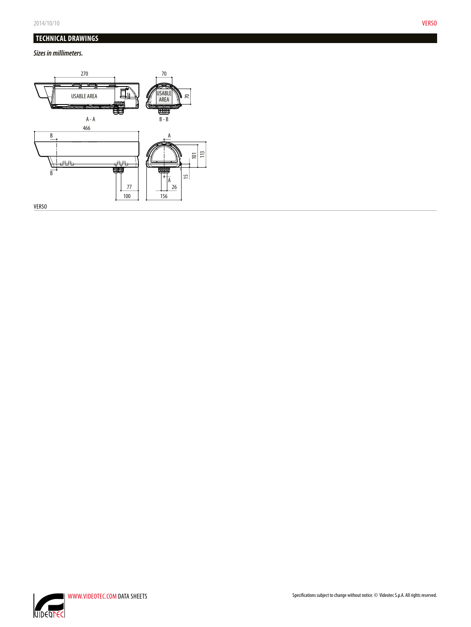# **TECHNICAL DRAWINGS**

*Sizes in millimeters.*